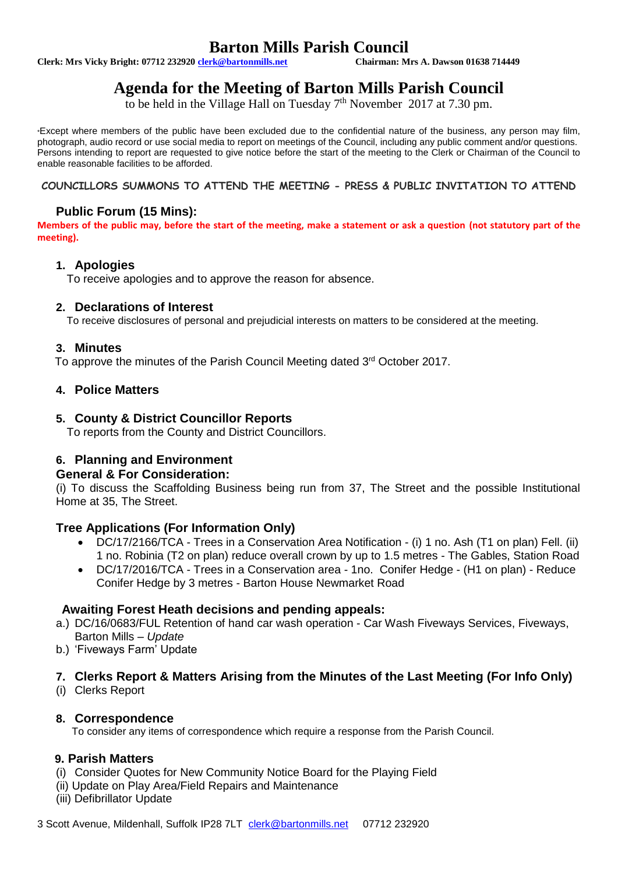# **Barton Mills Parish Council**<br>Chairman: Mrs A. Dawson 01638 714449

**Clerk: Mrs Vicky Bright: 07712 232920 clerk@bartonmills.net** 

# **Agenda for the Meeting of Barton Mills Parish Council**

to be held in the Village Hall on Tuesday  $7<sup>th</sup>$  November 2017 at 7.30 pm.

\*Except where members of the public have been excluded due to the confidential nature of the business, any person may film, photograph, audio record or use social media to report on meetings of the Council, including any public comment and/or questions. Persons intending to report are requested to give notice before the start of the meeting to the Clerk or Chairman of the Council to enable reasonable facilities to be afforded.

#### **COUNCILLORS SUMMONS TO ATTEND THE MEETING - PRESS & PUBLIC INVITATION TO ATTEND**

# **Public Forum (15 Mins):**

**Members of the public may, before the start of the meeting, make a statement or ask a question (not statutory part of the meeting).**

# **1. Apologies**

To receive apologies and to approve the reason for absence.

# **2. Declarations of Interest**

To receive disclosures of personal and prejudicial interests on matters to be considered at the meeting.

# **3. Minutes**

To approve the minutes of the Parish Council Meeting dated 3<sup>rd</sup> October 2017.

# **4. Police Matters**

# **5. County & District Councillor Reports**

To reports from the County and District Councillors.

# **6. Planning and Environment**

#### **General & For Consideration:**

(i) To discuss the Scaffolding Business being run from 37, The Street and the possible Institutional Home at 35, The Street.

# **Tree Applications (For Information Only)**

- DC/17/2166/TCA Trees in a Conservation Area Notification (i) 1 no. Ash (T1 on plan) Fell. (ii) 1 no. Robinia (T2 on plan) reduce overall crown by up to 1.5 metres - The Gables, Station Road
- DC/17/2016/TCA Trees in a Conservation area 1no. Conifer Hedge (H1 on plan) Reduce Conifer Hedge by 3 metres - Barton House Newmarket Road

#### **Awaiting Forest Heath decisions and pending appeals:**

- a.) DC/16/0683/FUL Retention of hand car wash operation Car Wash Fiveways Services, Fiveways, Barton Mills – *Update*
- b.) 'Fiveways Farm' Update

# **7. Clerks Report & Matters Arising from the Minutes of the Last Meeting (For Info Only)**

(i) Clerks Report

#### **8. Correspondence**

To consider any items of correspondence which require a response from the Parish Council.

# **9. Parish Matters**

- (i) Consider Quotes for New Community Notice Board for the Playing Field
- (ii) Update on Play Area/Field Repairs and Maintenance
- (iii) Defibrillator Update